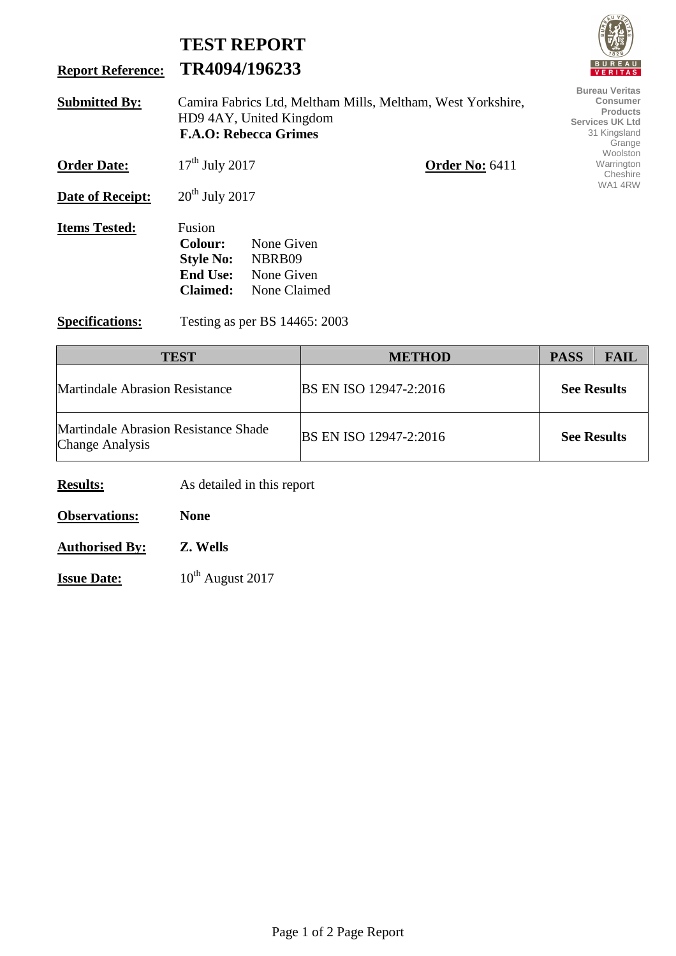## **TEST REPORT Report Reference: TR4094/196233 Submitted By:** Camira Fabrics Ltd, Meltham Mills, Meltham, West Yorkshire, HD9 4AY, United Kingdom **F.A.O: Rebecca Grimes Order Date:** 17<sup>th</sup> July 2017 **Order No:** 6411 **Date of Receipt:** 20<sup>th</sup> July 2017 **Items Tested:** Fusion **Colour:** None Given **Style No:** NBRB09 **End Use:** None Given **Claimed:** None Claimed **Specifications:** Testing as per BS 14465: 2003 **Bureau Veritas Consumer Products Services UK Ltd**  31 Kingsland Grange **Woolston** Warrington Cheshire WA1 4RW

**TEST NETHOD PASS FAIL** Martindale Abrasion Resistance BS EN ISO 12947-2:2016 **See Results**  Martindale Abrasion Resistance Shade Matundale Abrasion Resistance Shade<br>Change Analysis BS EN ISO 12947-2:2016 **See Results** 

**Results:** As detailed in this report

**Observations: None** 

**Authorised By: Z. Wells**

**Issue Date:** 10<sup>th</sup> August 2017